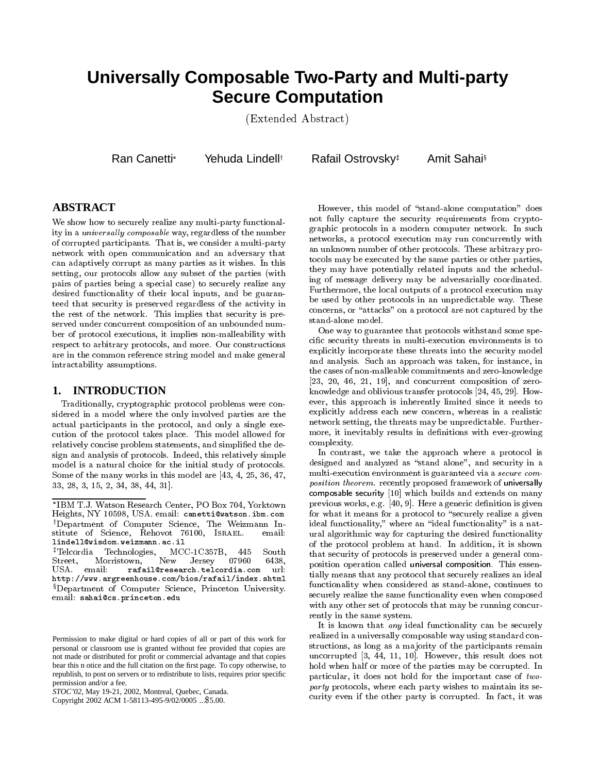# **Universally Composable Two-Party and Multi-party Secure Computation**

(Extended Abstract)

Ran Canetti

Yehuda Lindell<sup>+</sup>

Rafail Ostrovsky<sup>‡</sup>

Amit Sahai<sup>s</sup>

## **ABSTRACT**

We show how to securely realize any multi-party functionality in a *universally composable* way, regardless of the number of corrupted participants. That is, we consider a multi-party network with open communication and an adversary that can adaptively corrupt as many parties as it wishes. In this setting, our protocols allow any subset of the parties (with pairs of parties being a special case) to securely realize any desired functionality of their local inputs, and be guaranteed that security is preserved regardless of the activity in the rest of the network. This implies that security is preconcerns, or "attaching" at the rest of the network. served under concurrent composition of an unbounded num ber of protocol executions, it implies non-malleability with respect to arbitrary protocols, and more. Our constructions are in the common reference string model and make general intractability assumptions.

## **1. INTRODUCTION**

Traditionally, cryptographic protocol problems were con sidered in a model where the only involved parties are the actual participants in the protocol, and only a single exe cution of the protocol takes place. This model allowed for relatively concise problem statements, and simplified the design and analysis of protocols. Indeed, this relatively simple model is a natural choice for the initial study of protocols. Some of the many works in this model are [43, 4, 25, 36, 47, 33, 28, 3, 15, 2, 34, 38, 44, 31].

<sup>‡</sup>Telcordia Technologies, MCC-1C357B, 445 South Street, Morristown, New Jersey 07960 6438. USA. email: rafail@research.telcordia.com url: http://www.argreenhouse.com/bios/rafail/index.shtml<sup>§</sup>Department of Computer Science, Princeton University. email: sahai@cs.princeton.edu

Copyright 2002 ACM 1-58113-495-9/02/0005 ...\$5.00.

However, this model of "stand-alone computation" does not fully capture the security requirements from cryptographic protocols in a modern computer network. In such networks, a protocol execution may run concurrently with an unknown number of other protocols. These arbitrary protocols may be executed by the same parties or other parties, they may have potentially related inputs and the scheduling of message delivery may be adversarially coordinated. Furthermore, the local outputs of a protocol execution may be used by other protocols in an unpredictable way. These concerns, or "attacks" on a protocol are not captured by the

One way to guarantee that protocols withstand some specic security threats in multi-execution environments is to explicitly incorporate these threats into the security model and analysis. Such an approach was taken, for instance, in the cases of non-malleable commitments and zero-knowledge [23, 20, 46, 21, 19], and concurrent composition of zero knowledge and oblivious transfer protocols [24, 45, 29]. How ever, this approach is inherently limited since it needs to explicitly address each new concern, whereas in a realistic network setting, the threats may be unpredictable. Furthermore, it inevitably results in definitions with ever-growing complexity.

 functionality when considered as stand-alone, continues to In contrast, we take the approach where a protocol is designed and analyzed as "stand alone", and security in a multi-execution environment is guaranteed via a secure com position theorem. recently proposed framework of universally composable security [10] which builds and extends on many previous works, e.g. [40, 9]. Here a generic definition is given for what it means for a protocol to "securely realize a given ideal functionality," where an "ideal functionality" is a natural algorithmic way for capturing the desired functionality of the protocol problem at hand. In addition, it is shown that security of protocols is preserved under a general composition operation called universal composition. This essentially means that any protocol that securely realizes an ideal securely realize the same functionality even when composed with any other set of protocols that may be running concur rently in the same system.

It is known that any ideal functionality can be securely realized in a universally composable way using standard constructions, as long as a majority of the participants remain uncorrupted [3, 44, 11, 10]. However, this result does not hold when half or more of the parties may be corrupted. In particular, it does not hold for the important case of twoparty protocols, where each party wishes to maintain its security even if the other party is corrupted. In fact, it was

IBM T.J. Watson Research Center, PO Box 704, Yorktown Heights, NY 10598, USA. email: canetti@watson.ibm.com <sup>†</sup>Department of Computer Science, The Weizmann Institute of Science, Rehovot 76100, Israel. email: lindell@wisdom.weizmann.ac.il

Permission to make digital or hard copies of all or part of this work for personal or classroom use is granted without fee provided that copies are not made or distributed for profit or commercial advantage and that copies bear this n otice and the full citation on the first page. To copy otherwise, to republish, to post on servers or to redistribute to lists, requires prior specific permission and/or a fee.

*STOC'02,* May 19-21, 2002, Montreal, Quebec, Canada.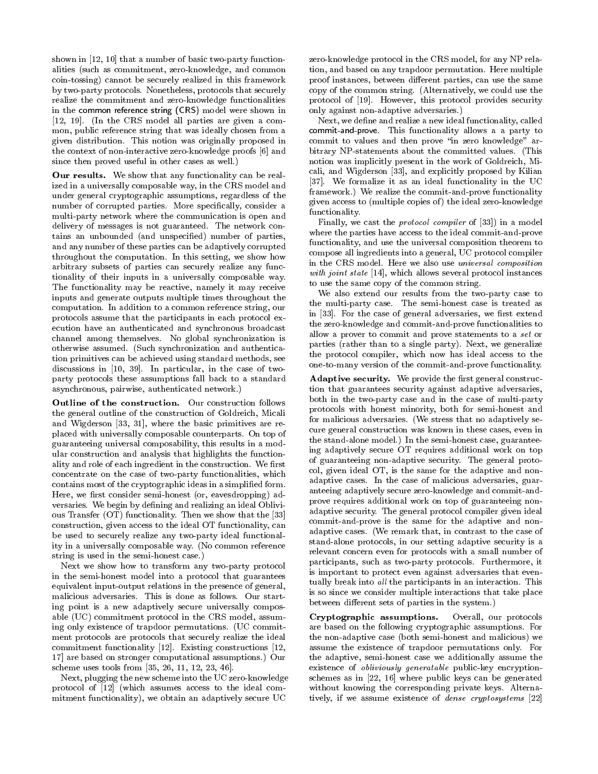shown in [12, 10] that a number of basic two-party functionalities (such as commitment, zero-knowledge, and common coin-tossing) cannot be securely realized in this framework by two-party protocols. Nonetheless, protocols that securely realize the commitment and zero-knowledge functionalities in the common reference string (CRS) model were shown in [12, 19]. (In the CRS model all parties are given a com mon, public reference string that was ideally chosen from a given distribution. This notion was originally proposed in the context of non-interactive zero-knowledge proofs [6] and since then proved useful in other cases as well.)

Our results. We show that any functionality can be realized in a universally composable way, in the CRS model and under general cryptographic assumptions, regardless of the number of corrupted parties. More specifically, consider a multi-party network where the communication is open and delivery of messages is not guaranteed. The network contains an unbounded (and unspecied) number of parties, and any number of these parties can be adaptively corrupted throughout the computation. In this setting, we show how arbitrary subsets of parties can securely realize any functionality of their inputs in a universally composable way. The functionality may be reactive, namely it may receive inputs and generate outputs multiple times throughout the computation. In addition to a common reference string, our protocols assume that the participants in each protocol execution have an authenticated and synchronous broadcast channel among themselves. No global synchronization is otherwise assumed. (Such synchronization and authentication primitives can be achieved using standard methods, see discussions in [10, 39]. In particular, in the case of two party protocols these assumptions fall back to a standard asynchronous, pairwise, authenticated network.)

Outline of the construction. Our construction follows the general outline of the construction of Goldreich, Micali and Wigderson [33, 31], where the basic primitives are re placed with universally composable counterparts. On top of guaranteeing universal composability, this results in a modular construction and analysis that highlights the functionality and role of each ingredient in the construction. We first concentrate on the case of two-party functionalities, which contains most of the cryptographic ideas in a simplied form. Here, we first consider semi-honest (or, eavesdropping) adversaries. We begin by defining and realizing an ideal Oblivious Transfer (OT) functionality. Then we show that the [33] construction, given access to the ideal OT functionality, can be used to securely realize any two-party ideal functionality in a universally composable way. (No common reference string is used in the semi-honest case.)

Next we show how to transform any two-party protocol in the semi-honest model into a protocol that guarantees equivalent input-output relations in the presence of general, malicious adversaries. This is done as follows. Our starting point is a new adaptively secure universally composable (UC) commitment protocol in the CRS model, assuming only existence of trapdoor permutations. (UC commit ment protocols are protocols that securely realize the ideal commitment functionality [12]. Existing constructions [12, 17] are based on stronger computational assumptions.) Our scheme uses tools from [35, 26, 11, 12, 23, 46].

Next, plugging the new scheme into the UC zero-knowledge protocol of [12] (which assumes access to the ideal com mitment functionality), we obtain an adaptively secure UC

zero-knowledge protocol in the CRS model, for any NP relation, and based on any trapdoor permutation. Here multiple proof instances, between different parties, can use the same copy of the common string. (Alternatively, we could use the protocol of [19]. However, this protocol provides security only against non-adaptive adversaries.)

Next, we define and realize a new ideal functionality, called commit-and-prove. This functionality allows a a party to commit to values and then prove "in zero knowledge" arbitrary NP-statements about the committed values. (This notion was implicitly present in the work of Goldreich, Micali, and Wigderson [33], and explicitly proposed by Kilian [37]. We formalize it as an ideal functionality in the UC framework.) We realize the commit-and-prove functionality given access to (multiple copies of ) the ideal zero-knowledge functionality.

Finally, we cast the protocol compiler of [33]) in a model where the parties have access to the ideal commit-and-prove functionality, and use the universal composition theorem to compose all ingredients into a general, UC protocol compiler in the CRS model. Here we also use universal composition with joint state  $[14]$ , which allows several protocol instances to use the same copy of the common string.

We also extend our results from the two-party case to the multi-party case. The semi-honest case is treated as in [33]. For the case of general adversaries, we first extend the zero-knowledge and commit-and-prove functionalities to allow a prover to commit and prove statements to a set or parties (rather than to a single party). Next, we generalize the protocol compiler, which now has ideal access to the one-to-many version of the commit-and-prove functionality.

Adaptive security. We provide the first general construction that guarantees security against adaptive adversaries, both in the two-party case and in the case of multi-party protocols with honest minority, both for semi-honest and for malicious adversaries. (We stress that no adaptively secure general construction was known in these cases, even in the stand-alone model.) In the semi-honest case, guaranteeing adaptively secure OT requires additional work on top of guaranteeing non-adaptive security. The general protocol, given ideal OT, is the same for the adaptive and nonadaptive cases. In the case of malicious adversaries, guar anteeing adaptively secure zero-knowledge and commit-andprove requires additional work on top of guaranteeing nonadaptive security. The general protocol compiler given ideal commit-and-prove is the same for the adaptive and non adaptive cases. (We remark that, in contrast to the case of stand-alone protocols, in our setting adaptive security is a relevant concern even for protocols with a small number of participants, such as two-party protocols. Furthermore, it is important to protect even against adversaries that even tually break into all the participants in an interaction. This is so since we consider multiple interactions that take place between different sets of parties in the system.)

Cryptographic assumptions. Overall, our protocols are based on the following cryptographic assumptions. For the non-adaptive case (both semi-honest and malicious) we assume the existence of trapdoor permutations only. For the adaptive, semi-honest case we additionally assume the existence of obliviously generatable public-key encryption schemes as in [22, 16] where public keys can be generated without knowing the corresponding private keys. Alternatively, if we assume existence of dense cryptosystems [22]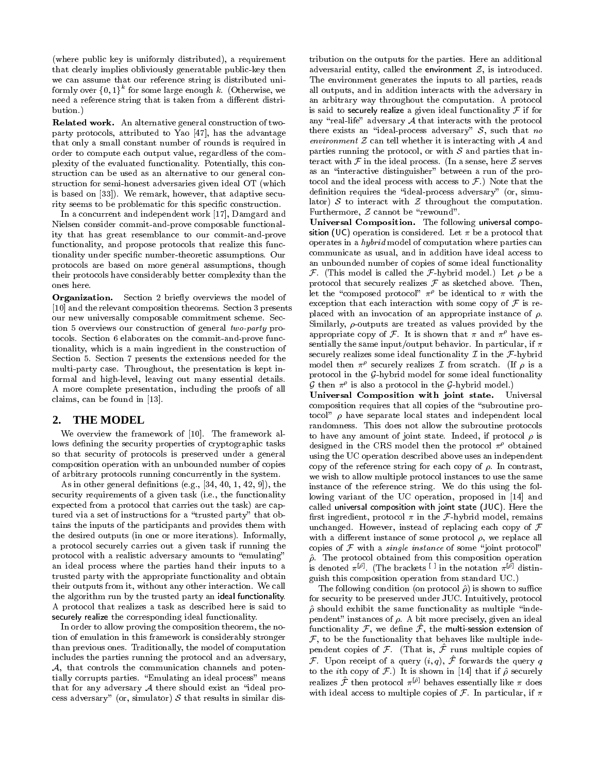(where public key is uniformly distributed), a requirement that clearly implies obliviously generatable public-key then we can assume that our reference string is distributed uniformly over  $\{0,1\}$  for some large enough  $\kappa$ . (Otherwise, we all need a reference string that is taken from a different distribution.)

Related work. An alternative general construction of two party protocols, attributed to Yao [47], has the advantage that only a small constant number of rounds is required in order to compute each output value, regardless of the complexity of the evaluated functionality. Potentially, this construction can be used as an alternative to our general construction for semi-honest adversaries given ideal OT (which is based on [33]). We remark, however, that adaptive secu rity seems to be problematic for this specific construction.

In a concurrent and independent work [17], Damgard and Nielsen consider commit-and-prove composable functionality that has great resemblance to our commit-and-prove functionality, and propose protocols that realize this functionality under specic number-theoretic assumptions. Our protocols are based on more general assumptions, though their protocols have considerably better complexity than the ones here.

**Organization.** Section 2 briefly overviews the model of [10] and the relevant composition theorems. Section 3 presents our new universally composable commitment scheme. Section 5 overviews our construction of general two-party protocols. Section 6 elaborates on the commit-and-prove functionality, which is a main ingredient in the construction of Section 5. Section 7 presents the extensions needed for the multi-party case. Throughout, the presentation is kept informal and high-level, leaving out many essential details. A more complete presentation, including the proofs of all claims, can be found in [13].

## **2. THE MODEL**

We overview the framework of [10]. The framework allows defining the security properties of cryptographic tasks so that security of protocols is preserved under a general composition operation with an unbounded number of copies of arbitrary protocols running concurrently in the system.

As in other general definitions (e.g.,  $[34, 40, 1, 42, 9]$ ), the security requirements of a given task (i.e., the functionality expected from a protocol that carries out the task) are captured via a set of instructions for a "trusted party" that obtains the inputs of the participants and provides them with the desired outputs (in one or more iterations). Informally, a protocol securely carries out a given task if running the protocol with a realistic adversary amounts to "emulating" an ideal process where the parties hand their inputs to a trusted party with the appropriate functionality and obtain their outputs from it, without any other interaction. We call the algorithm run by the trusted party an ideal functionality. A protocol that realizes a task as described here is said to securely realize the corresponding ideal functionality.

In order to allow proving the composition theorem, the notion of emulation in this framework is considerably stronger  $\mathcal F$ , to be the functionality that behaves like multiple indethan previous ones. Traditionally, the model of computation includes the parties running the protocol and an adversary, A, that controls the communication channels and potentially corrupts parties. "Emulating an ideal process" means that for any adversary  $A$  there should exist an "ideal process adversary" (or, simulator)  $S$  that results in similar dis-

tribution on the outputs for the parties. Here an additional adversarial entity, called the environment  $Z$ , is introduced. The environment generates the inputs to all parties, reads all outputs, and in addition interacts with the adversary in an arbitrary way throughout the computation. A protocol is said to securely realize a given ideal functionality  $\mathcal F$  if for any "real-life" adversary  $A$  that interacts with the protocol there exists an "ideal-process adversary"  $S$ , such that no environment  $\mathcal Z$  can tell whether it is interacting with  $\mathcal A$  and parties running the protocol, or with  $S$  and parties that interact with  $\mathcal F$  in the ideal process. (In a sense, here  $\mathcal Z$  serves as an "interactive distinguisher" between a run of the protocol and the ideal process with access to  $\mathcal{F}$ .) Note that the definition requires the "ideal-process adversary" (or, simulator)  $S$  to interact with  $Z$  throughout the computation. Furthermore,  $Z$  cannot be "rewound".

Universal Composition. The following universal composition (UC) operation is considered. Let  $\pi$  be a protocol that operates in a hybrid model of computation where parties can communicate as usual, and in addition have ideal access to an unbounded number of copies of some ideal functionality  $\mathcal F$ . (This model is called the  $\mathcal F$ -hybrid model.) Let  $\rho$  be a protocol that securely realizes  $\mathcal F$  as sketched above. Then, let the "composed protocol"  $\pi^{\rho}$  be identical to  $\pi$  with the exception that each interaction with some copy of  $\mathcal F$  is replaced with an invocation of an appropriate instance of  $\rho$ . Similarly,  $\rho$ -outputs are treated as values provided by the appropriate copy of  $\mathcal F$ . It is shown that  $\pi$  and  $\pi^{\rho}$  have essentially the same input/output behavior. In particular, if  $\pi$ securely realizes some ideal functionality  $\mathcal I$  in the  $\mathcal F\text{-}\mathrm{hybrid}$ model then  $\pi^r$  securely realizes  $L$  from scratch. (If  $\rho$  is a protocol in the G-hybrid model for some ideal functionality  $\cal G$  then  $\pi^{\nu}$  is also a protocol in the  $\cal G$ -hybrid model.)

Universal Composition with joint state. Universal composition requires that all copies of the "subroutine protocol"  $\rho$  have separate local states and independent local randomness. This does not allow the subroutine protocols to have any amount of joint state. Indeed, if protocol  $\rho$  is designed in the CRS model then the protocol  $\pi^{\rho}$  obtained using the UC operation described above uses an independent copy of the reference string for each copy of  $\rho$ . In contrast, we wish to allow multiple protocol instances to use the same instance of the reference string. We do this using the following variant of the UC operation, proposed in [14] and called universal composition with joint state (JUC). Here the first ingredient, protocol  $\pi$  in the *F*-hybrid model, remains unchanged. However, instead of replacing each copy of  $\mathcal F$ with a different instance of some protocol  $\rho$ , we replace all copies of  $F$  with a single instance of some "joint protocol"  $\hat{\rho}$ . The protocol obtained from this composition operation is denoted  $\pi^{[\hat{\rho}]}$ . (The brackets  $[\cdot]$  in the notation  $\pi^{[\hat{\rho}]}$  distinguish this composition operation from standard UC.)

The following condition (on protocol  $\hat{\rho}$ ) is shown to suffice for security to be preserved under JUC. Intuitively, protocol  $\hat{\rho}$  should exhibit the same functionality as multiple "independent" instances of  $\rho$ . A bit more precisely, given an ideal functionality  $\mathcal F$ , we define  $\hat{\mathcal F}$ , the multi-session extension of F, to be the functionality that behaves like multiple independent copies of  $F$ . (That is,  $F$  runs multiple copies of  $\sigma$ . Upon receipt or a query  $(i, q)$ ,  $\sigma$  forwards the query  $q$ to the *i*th copy of  $\mathcal{F}$ .) It is shown in [14] that if  $\rho$  securely realizes  $\hat{\mathcal{F}}$  then protocol  $\pi^{[\hat{\rho}]}$  behaves essentially like  $\pi$  does with ideal access to multiple copies of  $\mathcal F$ . In particular, if  $\pi$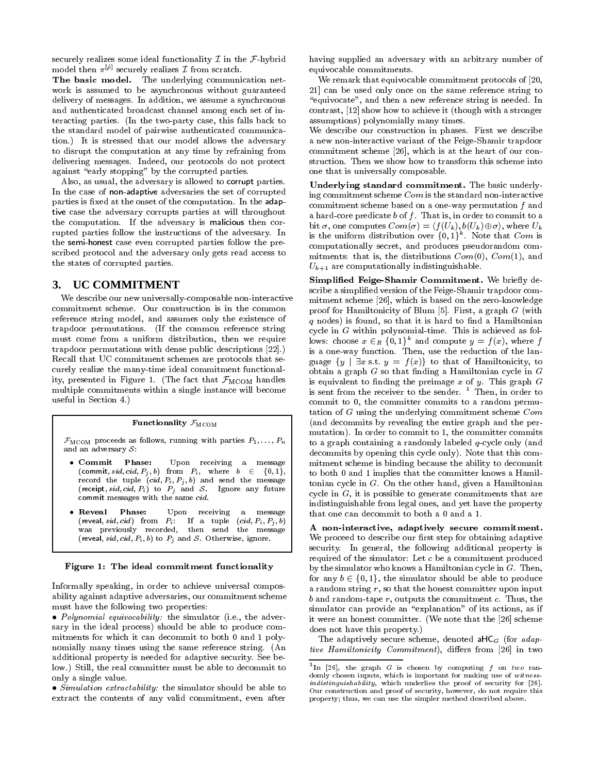securely realizes some ideal functionality  $\mathcal I$  in the  $\mathcal F$ -hybrid model then  $\pi^{[\hat{\rho}]}$  securely realizes  $\mathcal I$  from scratch.

The basic model. The underlying communication network is assumed to be asynchronous without guaranteed delivery of messages. In addition, we assume a synchronous and authenticated broadcast channel among each set of interacting parties. (In the two-party case, this falls back to the standard model of pairwise authenticated communication.) It is stressed that our model allows the adversary to disrupt the computation at any time by refraining from delivering messages. Indeed, our protocols do not protect against "early stopping" by the corrupted parties.

Also, as usual, the adversary is allowed to corrupt parties. In the case of non-adaptive adversaries the set of corrupted parties is fixed at the onset of the computation. In the adaptive case the adversary corrupts parties at will throughout the computation. If the adversary is malicious then cor rupted parties follow the instructions of the adversary. In the semi-honest case even corrupted parties follow the prescribed protocol and the adversary only gets read access to the states of corrupted parties.

## **3. UC COMMITMENT**

We describe our new universally-composable non-interactive commitment scheme. Our construction is in the common reference string model, and assumes only the existence of trapdoor permutations. (If the common reference string must come from a uniform distribution, then we require trapdoor permutations with dense public descriptions [22].) Recall that UC commitment schemes are protocols that securely realize the many-time ideal commitment functionality, presented in Figure 1. (The fact that  $\mathcal{F}_{\text{MCOM}}$  handles multiple commitments within a single instance will become useful in Section 4.)

### Functionality  $\mathcal{F}_{\text{MCOM}}$

 $\mathcal{F}_{\text{MCOM}}$  proceeds as follows, running with parties  $P_1,\ldots,P_n$ and an adversary S:

- Commit Phase: Upon receiving <sup>a</sup> message (committee bits in the committee bound  $\mathbf{c}_i$  is a form  $\mathbf{c}_i$  of  $\mathbf{c}_i$  is a form  $\mathbf{c}_i$ record the tuple (cid; Pi ; Pj ; b) and send the message (receipt; sid; cid; Pi) to Pj and <sup>S</sup>. Ignore any future commit messages with the same cid.
- Reveal Phase: Upon receiving <sup>a</sup> message (reveal; sid; cid; cid; cid; external; extending (cid; Pi);  $\mathbb{P}$  ; Pi);  $\mathbb{P}$ was previously recorded, then send the message recorded, then send the message recorded, then send the message (reveal, sid, cid,  $P_i$ , b) to  $P_j$  and S. Otherwise, ignore.

#### Figure 1: The ideal commitment functionality

Informally speaking, in order to achieve universal composability against adaptive adversaries, our commitment scheme must have the following two properties:

 Polynomial equivocability: the simulator (i.e., the adver sary in the ideal process) should be able to produce commitments for which it can decommit to both 0 and 1 polynomially many times using the same reference string. (An additional property is needed for adaptive security. See below.) Still, the real committer must be able to decommit to only a single value.

• Simulation extractability: the simulator should be able to extract the contents of any valid commitment, even after having supplied an adversary with an arbitrary number of equivocable commitments.

We remark that equivocable commitment protocols of [20, 21] can be used only once on the same reference string to "equivocate", and then a new reference string is needed. In contrast, [12] show how to achieve it (though with a stronger assumptions) polynomially many times.

We describe our construction in phases. First we describe a new non-interactive variant of the Feige-Shamir trapdoor commitment scheme [26], which is at the heart of our construction. Then we show how to transform this scheme into one that is universally composable.

Underlying standard commitment. The basic underlying commitment scheme  $Com$  is the standard non-interactive commitment scheme based on a one-way permutation f and a hard-core predicate  $b$  of  $f$ . That is, in order to commit to a bit  $\sigma$ , one computes  $Com(\sigma) = \langle f(U_k), b(U_k) \oplus \sigma \rangle$ , where  $U_k$ is the uniform distribution over  $\{0,1\}$ . Note that  $Com$  is computationally secret, and produces pseudorandom commitments: that is, the distributions  $Com(0), Com(1),$  and  $U_{k+1}$  are computationally indistinguishable.

Simplified Feige-Shamir Commitment. We briefly describe a simplied version of the Feige-Shamir trapdoor commitment scheme [26], which is based on the zero-knowledge proof for Hamiltonicity of Blum [5]. First, a graph G (with  $q$  nodes) is found, so that it is hard to find a Hamiltonian cycle in  $G$  within polynomial-time. This is achieved as follows: choose  $x \in_R \{0, 1\}^*$  and compute  $y = f(x)$ , where f is a one-way function. Then, use the reduction of the language  $\{y \mid \exists x \text{ s.t. } y = f(x)\}\$ to that of Hamiltonicity, to obtain a graph  $G$  so that finding a Hamiltonian cycle in  $G$ is equivalent to finding the preimage  $x$  of  $y$ . This graph  $G$ is sent from the receiver to the sender.  $1$  Then, in order to commit to 0, the committer commits to a random permu tation of  $G$  using the underlying commitment scheme  $Com$ (and decommits by revealing the entire graph and the per mutation). In order to commit to 1, the committer commits to a graph containing a randomly labeled q-cycle only (and decommits by opening this cycle only). Note that this commitment scheme is binding because the ability to decommit to both 0 and 1 implies that the committer knows a Hamiltonian cycle in G. On the other hand, given a Hamiltonian cycle in  $G$ , it is possible to generate commitments that are indistinguishable from legal ones, and yet have the property that one can decommit to both a 0 and a 1.

A non-interactive, adaptively secure commitment. We proceed to describe our first step for obtaining adaptive security. In general, the following additional property is required of the simulator: Let  $c$  be a commitment produced by the simulator who knows a Hamiltonian cycle in  $G$ . Then, for any  $b \in \{0, 1\}$ , the simulator should be able to produce a random string  $r$ , so that the honest committer upon input  $b$  and random-tape  $r$ , outputs the commitment  $c$ . Thus, the simulator can provide an "explanation" of its actions, as if it were an honest committer. (We note that the [26] scheme does not have this property.)

The adaptively secure scheme, denoted aHC<sub>G</sub> (for  $adap$ tive Hamiltonicity Commitment), differs from  $[26]$  in two

<sup>1</sup> In [26], the graph <sup>G</sup> is chosen by computing <sup>f</sup> on two ran domly chosen inputs, which is important for making use of  $witness$ indistinguishability, which underlies the proof of security for [26]. Our construction and proof of security, however, do not require this property; thus, we can use the simpler method described above.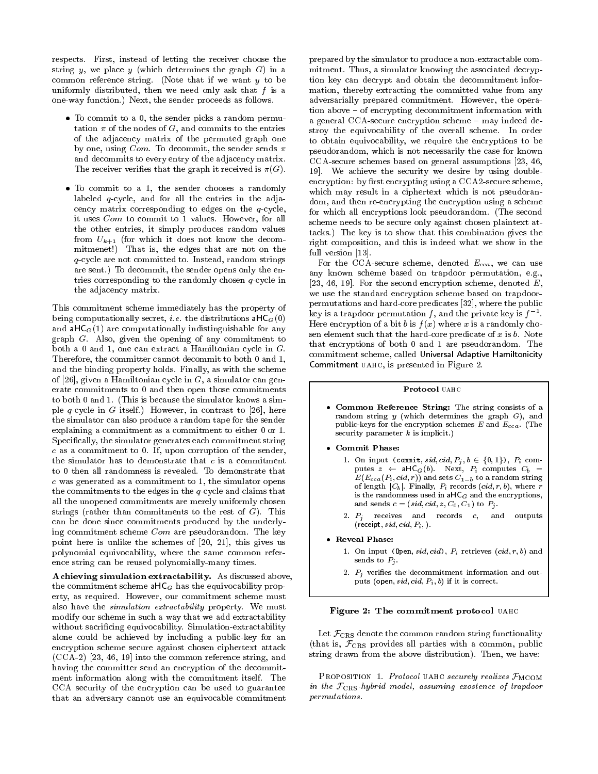respects. First, instead of letting the receiver choose the string y, we place y (which determines the graph  $G$ ) in a common reference string. (Note that if we want  $y$  to be uniformly distributed, then we need only ask that  $f$  is a one-way function.) Next, the sender proceeds as follows.

- To commit to a 0, the sender picks a random permu tation  $\pi$  of the nodes of G, and commits to the entries of the adjacency matrix of the permuted graph one by one, using Com. To decommit, the sender sends  $\pi$ and decommits to every entry of the adjacency matrix. The receiver verifies that the graph it received is  $\pi(G)$ .
- To commit to a 1, the sender chooses a randomly labeled q-cycle, and for all the entries in the adjacency matrix corresponding to edges on the  $q$ -cycle, it uses Com to commit to 1 values. However, for all the other entries, it simply produces random values from  $U_{k+1}$  (for which it does not know the decommitmenet!) That is, the edges that are not on the q-cycle are not committed to. Instead, random strings are sent.) To decommit, the sender opens only the entries corresponding to the randomly chosen q-cycle in the adjacency matrix.

This commitment scheme immediately has the property of being computationally secret, *i.e.* the distributions  $aHC_G(0)$ and  $\mathsf{aHC}_G(1)$  are computationally indistinguishable for any graph G. Also, given the opening of any commitment to both a 0 and 1, one can extract a Hamiltonian cycle in G. Therefore, the committer cannot decommit to both 0 and 1, and the binding property holds. Finally, as with the scheme of [26], given a Hamiltonian cycle in  $G$ , a simulator can generate commitments to 0 and then open those commitments to both 0 and 1. (This is because the simulator knows a simple q-cycle in G itself.) However, in contrast to [26], here the simulator can also produce a random tape for the sender explaining a commitment as a commitment to either 0 or 1. Specically, the simulator generates each commitment string c as a commitment to 0. If, upon corruption of the sender, the simulator has to demonstrate that  $c$  is a commitment to 0 then all randomness is revealed. To demonstrate that c was generated as a commitment to 1, the simulator opens the commitments to the edges in the  $q$ -cycle and claims that all the unopened commitments are merely uniformly chosen strings (rather than commitments to the rest of  $G$ ). This can be done since commitments produced by the underlying commitment scheme  $Com$  are pseudorandom. The key point here is unlike the schemes of [20, 21], this gives us polynomial equivocability, where the same common reference string can be reused polynomially-many times.

Achieving simulation extractability. As discussed above, the commitment scheme  $aHC_G$  has the equivocability property, as required. However, our commitment scheme must also have the simulation extractability property. We must modify our scheme in such a way that we add extractability without sacricing equivocability. Simulation-extractability alone could be achieved by including a public-key for an encryption scheme secure against chosen ciphertext attack (CCA-2) [23, 46, 19] into the common reference string, and having the committer send an encryption of the decommit ment information along with the commitment itself. The CCA security of the encryption can be used to guarantee that an adversary cannot use an equivocable commitment

prepared by the simulator to produce a non-extractable commitment. Thus, a simulator knowing the associated decryption key can decrypt and obtain the decommitment information, thereby extracting the committed value from any adversarially prepared commitment. However, the operation above - of encrypting decommitment information with a general CCA-secure encryption scheme  $-$  may indeed destroy the equivocability of the overall scheme. In order to obtain equivocability, we require the encryptions to be pseudorandom, which is not necessarily the case for known CCA-secure schemes based on general assumptions [23, 46, 19]. We achieve the security we desire by using doubleencryption: by first encrypting using a CCA2-secure scheme, which may result in a ciphertext which is not pseudorandom, and then re-encrypting the encryption using a scheme for which all encryptions look pseudorandom. (The second scheme needs to be secure only against chosen plaintext attacks.) The key is to show that this combination gives the right composition, and this is indeed what we show in the full version [13].

For the CCA-secure scheme, denoted  $E_{cca}$ , we can use any known scheme based on trapdoor permutation, e.g., [23, 46, 19]. For the second encryption scheme, denoted  $E$ we use the standard encryption scheme based on trapdoorpermutations and hard-core predicates [32], where the public key is a trapdoor permutation f, and the private key is  $f^{-1}$ Here encryption of a bit b is  $f(x)$  where x is a randomly chosen element such that the hard-core predicate of  $x$  is  $b$ . Note that encryptions of both 0 and 1 are pseudorandom. The commitment scheme, called Universal Adaptive Hamiltonicity Commitment UAHC, is presented in Figure 2.

#### Protocol UAHC

- Common Reference String: The string consists of a random string  $y$  (which determines the graph  $G$ ), and public-keys for the encryption schemes  $E$  and  $E_{cca}$ . (The security parameter  $k$  is implicit.)
- Commit Phase:
	- 1. On input (commit, sid, cid,  $P_j$ ,  $b \in \{0,1\}$ ),  $P_i$  com-<br>putes  $z \leftarrow \text{aHC}_G(b)$ . Next,  $P_i$  computes  $C_b$  =  $E(E_{cca}(P_i, cid, r))$  and sets  $C_{1-b}$  to a random string of length  $|C_b|$ . Finally,  $P_i$  records  $(cid, r, b)$ , where r is the randomness used in  $aHC_G$  and the encryptions, and sends  $c = (sid, cid, z, C_0, C_1)$  to  $P_j$ .
	- 2.  $P_i$  receives and records  $c$ , and outputs  $(receipt, sid, cid, P<sub>i</sub>, ).$
- Reveal Phase:
	- 1. On input (Open, sid, cid),  $P_i$  retrieves  $(cid, r, b)$  and sends to  $P_i$ .
	- 2.  $P_i$  verifies the decommitment information and outputs (open, sid, cid,  $P_i$ , b) if it is correct.

#### Figure 2: The commitment protocol uahc

Let  $\mathcal{F}_{CRS}$  denote the common random string functionality (that is,  $\mathcal{F}_{CRS}$  provides all parties with a common, public string drawn from the above distribution). Then, we have:

PROPOSITION 1. Protocol UAHC securely realizes  $\mathcal{F}_{\text{MCOM}}$ in the  $\mathcal{F}_{CRS}$ -hybrid model, assuming exostence of trapdoor permutations.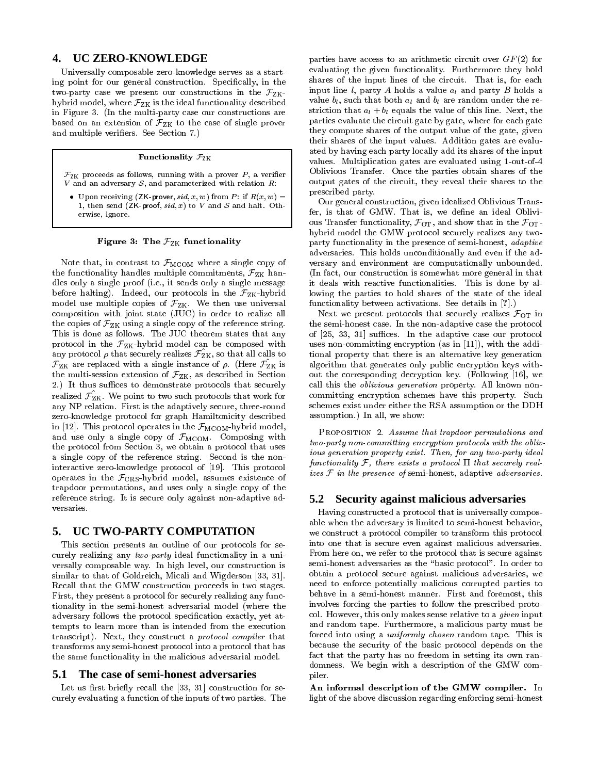## **4. UC ZERO-KNOWLEDGE**

Universally composable zero-knowledge serves as a starting point for our general construction. Specifically, in the two-party case we present our constructions in the  $\mathcal{F}_{\mathbf{Z}K}$ hy brid model, where  $\mathcal{F}_{\text{ZK}}$  is the ideal functionality described in Figure 3. (In the multi-party case our constructions are based on an extension of  $\mathcal{F}_{\mathrm{ZK}}$  to the case of single prover and multiple verifiers. See Section 7.)

#### Functionality Fzk

 $\mathcal{F}_{\text{ZK}}$  proceeds as follows, running with a prover P, a verifier V and an adversary S, and parameterized with relation R:

Upon receiving (ZK-prover, sid, x, w) from P: if  $R(x, w) =$ 1, then send (ZK-proof; sid; x) to V and S and halt. Otherwise, ignore.

### Figure 3: The  $\mathcal{F}_{\mathrm{ZK}}$  functionality

Note that, in contrast to  $\mathcal{F}_{\text{MCOM}}$  where a single copy of the functionality handles multiple commitments,  $\mathcal{F}_{\text{ZK}}$  handles only a single proof (i.e., it sends only a single message before halting). Indeed, our protocols in the  $\mathcal{F}_{\text{ZK}}$ -hybrid model use multiple copies of Fzk. We then use universal then use universal then use universal then use universal then use universal then use universal then use universal then use universal then use universal then use unive composition with joint state (JUC) in order to realize all the states (JUC) in order to realize all the states the copies of  $\mathcal{F}_{\text{ZK}}$  using a single copy of the reference string. This is done as follows. The JUC theorem states that any protocol in the  $\mathcal{F}_{\text{ZK}}$ -hybrid model can be composed with any protocol  $\rho$  that securely realizes  $\mathcal{F}_{\text{ZK}}$ , so that all calls to  $\qquad$  the  $\sigma$   $\chi$ <sub>K</sub> are replaced with a single instance of  $\rho$ . (Here  $\sigma$  $\chi$ <sub>K</sub> is an the multi-session extension of  $\mathcal{F}_{\mathrm{ZK}}$ , as described in Section 2.) It thus suffices to demonstrate protocols that securely  $\alpha$  realized  $\sigma_{\rm ZK}$ . We point to two such protocols that work for  $\alpha$ any NP relation. First is the adaptively secure, three-round zero-knowledge protocol for graph Hamiltonicity described in [12]. This protocol operates in the  $\mathcal{F}_{\rm{MCOM}}$  -hybrid model, and use only a single copy of  $\mathcal{F}_{\text{MCOM}}$ . Composing with the protocol from Section 3, we obtain a protocol that uses a single copy of the reference string. Second is the noninteractive zero-knowledge protocol of [19]. This protocol operates in the  $\mathcal{F}_{\text{CRS}}$ -hybrid model, assumes existence of trapdoor permutations, and uses only a single copy of the reference string. It is secure only against non-adaptive ad5.2 versaries.

## **5. UC TWO-PARTY COMPUTATION**

This section presents an outline of our protocols for se curely realizing any two-party ideal functionality in a uni versally composable way. In high level, our construction is similar to that of Goldreich, Micali and Wigderson [33, 31]. Recall that the GMW construction proceeds in two stages. First, they present a protocol for securely realizing any functionality in the semi-honest adversarial model (where the adversary follows the protocol specification exactly, yet attempts to learn more than is intended from the execution transcript). Next, they construct a protocol compiler that transforms any semi-honest protocol into a protocol that has the same functionality in the malicious adversarial model.

### **5.1 The case of semi-honest adversaries**

Let us first briefly recall the  $[33, 31]$  construction for securely evaluating a function of the inputs of two parties. The parties have access to an arithmetic circuit over  $GF(2)$  for evaluating the given functionality. Furthermore they hold shares of the input lines of the circuit. That is, for each input line l, party A holds a value  $a_l$  and party B holds a value  $b_l$ , such that both  $a_l$  and  $b_l$  are random under the restriction that  $a_l + b_l$  equals the value of this line. Next, the parties evaluate the circuit gate by gate, where for each gate they compute shares of the output value of the gate, given their shares of the input values. Addition gates are evaluated by having each party locally add its shares of the input values. Multiplication gates are evaluated using 1-out-of-4 Oblivious Transfer. Once the parties obtain shares of the output gates of the circuit, they reveal their shares to the prescribed party.

Our general construction, given idealized Oblivious Transfer, is that of GMW. That is, we define an ideal Oblivious Transfer functionality,  $\mathcal{F}_{\text{OT}}$ , and show that in the  $\mathcal{F}_{\text{OT}}$ hybrid model the GMW protocol securely realizes any two party functionality in the presence of semi-honest, adaptive adversaries. This holds unconditionally and even if the ad versary and environment are computationally unbounded. (In fact, our construction is somewhat more general in that it deals with reactive functionalities. This is done by allowing the parties to hold shares of the state of the ideal functionality between activations. See details in [?].)

Next we present protocols that securely realizes  $\mathcal{F}_{\text{OT}}$  in the semi-honest case. In the non-adaptive case the protocol of  $[25, 33, 31]$  suffices. In the adaptive case our protocol uses non-committing encryption (as in [11]), with the additional property that there is an alternative key generation algorithm that generates only public encryption keys without the corresponding decryption key. (Following [16], we call this the oblivious generation property. All known non committing encryption schemes have this property. Such schemes exist under either the RSA assumption or the DDH assumption.) In all, we show:

PROPOSITION 2. Assume that trapdoor permutations and two-party non-committing encryption protocols with the oblivious generation property exist. Then, for any two-party ideal functionality  $\mathcal F$ , there exists a protocol  $\Pi$  that securely realizes  $F$  in the presence of semi-honest, adaptive adversaries.

### **5.2 Security against malicious adversaries**

Having constructed a protocol that is universally composable when the adversary is limited to semi-honest behavior, we construct a protocol compiler to transform this protocol into one that is secure even against malicious adversaries. From here on, we refer to the protocol that is secure against semi-honest adversaries as the \basic protocol". In order to obtain a protocol secure against malicious adversaries, we need to enforce potentially malicious corrupted parties to behave in a semi-honest manner. First and foremost, this involves forcing the parties to follow the prescribed protocol. However, this only makes sense relative to a given input and random tape. Furthermore, a malicious party must be forced into using a uniformly chosen random tape. This is because the security of the basic protocol depends on the fact that the party has no freedom in setting its own ran domness. We begin with a description of the GMW com piler. piler. In the case of the case of the case of the case of the case of the case of the case of the case of the

An informal description of the GMW compiler. In light of the above discussion regarding enforcing semi-honest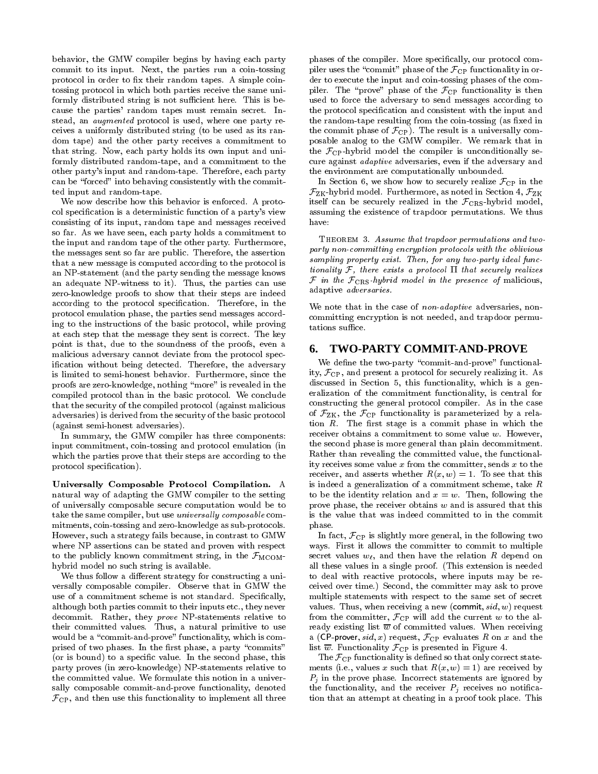behavior, the GMW compiler begins by having each party commit to its input. Next, the parties run a coin-tossing protocol in order to fix their random tapes. A simple cointossing protocol in which both parties receive the same uniformly distributed string is not sufficient here. This is because the parties' random tapes must remain secret. Instead, an augmented protocol is used, where one party receives a uniformly distributed string (to be used as its random tape) and the other party receives a commitment to that string. Now, each party holds its own input and uniformly distributed random-tape, and a commitment to the other party's input and random-tape. Therefore, each party can be "forced" into behaving consistently with the committed input and random-tape.

We now describe how this behavior is enforced. A protocol specication is a deterministic function of a party's view consisting of its input, random tape and messages received so far. As we have seen, each party holds a commitment to the input and random tape of the other party. Furthermore, the messages sent so far are public. Therefore, the assertion that a new message is computed according to the protocol is an NP-statement (and the party sending the message knows an adequate NP-witness to it). Thus, the parties can use zero-knowledge proofs to show that their steps are indeed according to the protocol specification. Therefore, in the protocol emulation phase, the parties send messages according to the instructions of the basic protocol, while proving at each step that the message they sent is correct. The key point is that, due to the soundness of the proofs, even a **6.** malicious adversary cannot deviate from the protocol specification without being detected. Therefore, the adversary is limited to semi-honest behavior. Furthermore, since the proofs are zero-knowledge, nothing \more" is revealed in the compiled protocol than in the basic protocol. We conclude that the security of the compiled protocol (against malicious adversaries) is derived from the security of the basic protocol (against semi-honest adversaries).

In summary, the GMW compiler has three components: input commitment, coin-tossing and protocol emulation (in which the parties prove that their steps are according to the protocol specification).

Universally Composable Protocol Compilation. A natural way of adapting the GMW compiler to the setting of universally composable secure computation would be to take the same compiler, but use universally composable commitments, coin-tossing and zero-knowledge as sub-protocols. However, such a strategy fails because, in contrast to GMW where NP assertions can be stated and proven with respect to the publicly known commitment string, in the  $\mathcal{F}_{\text{MCOM}}$ hybrid model no such string is available.

We thus follow a different strategy for constructing a universally composable compiler. Observe that in GMW the use of a commitment scheme is not standard. Specifically, although both parties commit to their inputs etc., they never decommit. Rather, they prove NP-statements relative to their committed values. Thus, a natural primitive to use would be a "commit-and-prove" functionality, which is comprised of two phases. In the first phase, a party "commits" (or is bound) to a specific value. In the second phase, this party proves (in zero-knowledge) NP-statements relative to the committed value. We formulate this notion in a univer sally composable commit-and-prove functionality, denoted  $\mathcal{F}_{\text{CP}}$ , and then use this functionality to implement all three

phases of the compiler. More specically, our protocol compiler uses the "commit" phase of the  $\mathcal{F}_{CP}$  functionality in order to execute the input and coin-tossing phases of the compiler. The "prove" phase of the  $\mathcal{F}_{CP}$  functionality is then used to force the adversary to send messages according to the protocol specication and consistent with the input and the random-tape resulting from the coin-tossing (as fixed in the commit phase of  $\mathcal{F}_{\text{CP}}$ ). The result is a universally composable analog to the GMW compiler. We remark that in the  $\mathcal{F}_{\text{CP}}$ -hybrid model the compiler is unconditionally secure against adaptive adversaries, even if the adversary and the environment are computationally unbounded.

In Section 6, we show how to securely realize  $\mathcal{F}_{\text{CP}}$  in the  $\mathcal{F}_{\rm ZK}$ -hybrid model. Furthermore, as noted in Section 4,  $\mathcal{F}_{\rm ZK}$ itself can be securely realized in the  $\mathcal{F}_{CRS}$ -hybrid model, assuming the existence of trapdoor permutations. We thus have:

THEOREM 3. Assume that trapdoor permutations and twoparty non-committing encryption protocols with the oblivious sampling property exist. Then, for any two-party ideal functionality  $\mathcal F$ , there exists a protocol  $\Pi$  that securely realizes  $\mathcal F$  in the  $\mathcal F_{CRS}$ -hybrid model in the presence of malicious, adaptive adversaries.

We note that in the case of *non-adaptive* adversaries, noncommitting encryption is not needed, and trapdoor permu tations suffice.

## **6. TWO-PARTY COMMIT-AND-PROVE**

We define the two-party "commit-and-prove" functionality,  $\mathcal{F}_{\text{CP}}$ , and present a protocol for securely realizing it. As discussed in Section 5, this functionality, which is a generalization of the commitment functionality, is central for constructing the general protocol compiler. As in the case of  $\mathcal{F}_{\text{ZK}}$ , the  $\mathcal{F}_{\text{CP}}$  functionality is parameterized by a relation  $R$ . The first stage is a commit phase in which the receiver obtains a commitment to some value w. However, the second phase is more general than plain decommitment. Rather than revealing the committed value, the functionality receives some value x from the committer, sends x to the receiver, and asserts whether  $R(x, w) = 1$ . To see that this is indeed a generalization of a commitment scheme, take R to be the identity relation and  $x = w$ . Then, following the prove phase, the receiver obtains w and is assured that this is the value that was indeed committed to in the commit phase.

In fact,  $\mathcal{F}_{\text{CP}}$  is slightly more general, in the following two ways. First it allows the committer to commit to multiple secret values  $w_{\ell}$ , and then have the relation R depend on all these values in a single proof. (This extension is needed to deal with reactive protocols, where inputs may be re ceived over time.) Second, the committer may ask to prove multiple statements with respect to the same set of secret values. Thus, when receiving a new (commit,  $sid, w$ ) request from the committer,  $\mathcal{F}_{\text{CP}}$  will add the current w to the already existing list  $\overline{w}$  of committed values. When receiving a (CP-prover, sid, x) request,  $\mathcal{F}_{\text{CP}}$  evaluates R on x and the list  $\overline{w}$ . Functionality  $\mathcal{F}_{CP}$  is presented in Figure 4.

The  $\mathcal{F}_{\text{CP}}$  functionality is defined so that only correct statements (i.e., values x such that  $R(x, w) = 1$ ) are received by  $P_i$  in the prove phase. Incorrect statements are ignored by the functionality, and the receiver  $P_i$  receives no notification that an attempt at cheating in a proof took place. This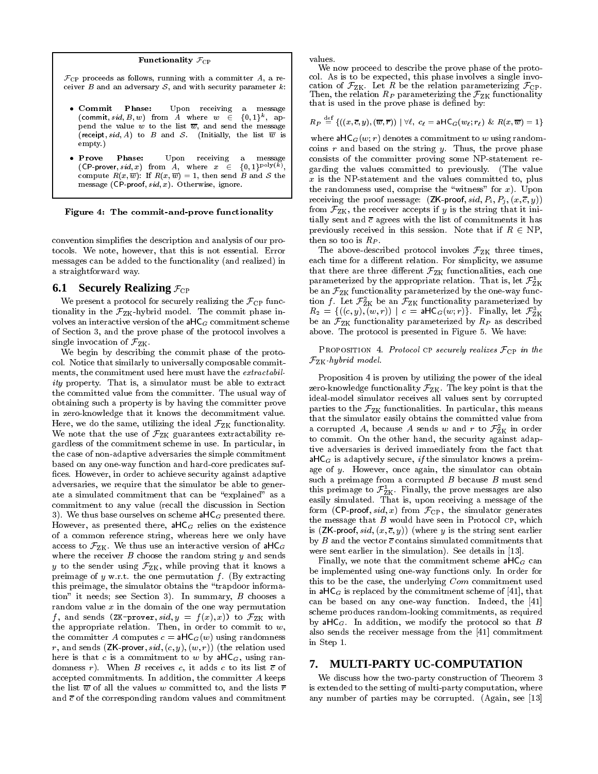#### Functionality  $\mathcal{F}_{\text{CP}}$ Fig. 2. The contract of the contract of the contract of the contract of the contract of the contract of the contract of the contract of the contract of the contract of the contract of the contract of the contract of the co

 $\mathcal{F}_{\text{CP}}$  proceeds as follows, running with a committer A, a receiver B and an adversary S, and with security parameter k:

- Commit Phase: Upon receiving <sup>a</sup> message (commit,  $sid, B, w)$  from  $A$  where  $w \in$ te {0,1}", ap- j pend the value w to the list  $\overline{w}$ , and send the message (receipt; sid; a) to B and S. (Initially, the list was in the list was empty.)
- $\bullet$  Prove  $\mathbf{a}$ message  ${0,1}^{\text{poly}(k)}$  Prove Phase: Upon receiving <sup>a</sup> message (CP-prover; sidiciding; sidiciding;  $\alpha$  , where  $\alpha$  , where  $\alpha$ , compute R(x; w): If R(x; w) = 1, then send B and S the message (CP-proof,  $sid, x$ ). Otherwise, ignore.

Figure 4: The commit-and-prove functionality

convention simplies the description and analysis of our protocols. We note, however, that this is not essential. Error messages can be added to the functionality (and realized) in a straightforward way.

## **6.1 Securely Realizing**  $\mathcal{F}_{CP}$

We present a protocol for securely realizing the  $\mathcal{F}_{\text{CP}}$  functionality in the  $\mathcal{F}_{ZK}$ -hybrid model. The commit phase involves an interactive version of the  $aHC_G$  commitment scheme of Section 3, and the prove phase of the protocol involves a single invocation of  $\mathcal{F}_{\mathrm{ZK}}$ .

We begin by describing the commit phase of the protocol. Notice that similarly to universally composable commit ments, the commitment used here must have the extractability property. That is, a simulator must be able to extract the committed value from the committer. The usual way of obtaining such a property is by having the committer prove in zero-knowledge that it knows the decommitment value. Here, we do the same, utilizing the ideal  $\mathcal{F}_{\text{ZK}}$  functionality. We note that the use of  $\mathcal{F}_{\mathrm{ZK}}$  guarantees extractability regardless of the commitment scheme in use. In particular, in the case of non-adaptive adversaries the simple commitment based on any one-way function and hard-core predicates suf fices. However, in order to achieve security against adaptive adversaries, we require that the simulator be able to generate a simulated commitment that can be "explained" as a commitment to any value (recall the discussion in Section 3). We thus base ourselves on scheme  $aHC_G$  presented there. However, as presented there,  $aHC_G$  relies on the existence of a common reference string, whereas here we only have access to  $\mathcal{F}_{\mathrm{ZK}}$ . We thus use an interactive version of aHC<sub>G</sub> where the receiver  $B$  choose the random string  $y$  and sends  $y$  to the sender using  $\mathcal{F}_{\mathrm{ZK}}$ , while proving that it knows a preimage of y w.r.t. the one permutation  $f$ . (By extracting this preimage, the simulator obtains the "trapdoor information" it needs; see Section 3). In summary,  $B$  chooses a random value  $x$  in the domain of the one way permutation f, and sends (ZK-prover,  $sid, y = f(x), x$ )) to  $\mathcal{F}_{\text{ZK}}$  with the appropriate relation. Then, in order to commit to  $w$ , the committer A computes  $c = \text{aHC}_G(w)$  using randomness r, and sends (ZK-prover, sid,  $(c, y)$ ,  $(w, r)$ ) (the relation used here is that c is a commitment to w by  $aHC_G$ , using randomness r). When B receives c, it adds c to its list  $\bar{c}$  of accepted commitments. In addition, the committer  $A$  keeps the list  $\overline{w}$  of all the values w committed to, and the lists  $\overline{r}$ and  $\bar{c}$  of the corresponding random values and commitment

values.

We now proceed to describe the prove phase of the protocol. As is to be expected, this phase involves a single invo cation of  $\mathcal{F}_{\text{ZK}}$ . Let R be the relation parameterizing  $\mathcal{F}_{\text{CP}}$ . Then, the relation  $R_P$  parameterizing the  $\mathcal{F}_{\mathrm{ZK}}$  functionality that is used in the prove phase is defined by:

$$
R_P \stackrel{\text{def}}{=} \{((x,\overline{c},y),(\overline{w},\overline{r})) \mid \forall \ell, \ c_{\ell} = \mathsf{aHC}_G(w_{\ell};r_{\ell}) \& R(x,\overline{w}) = 1\}
$$

where  $\mathsf{aHC}_G(w; r)$  denotes a commitment to w using randomcoins  $r$  and based on the string  $y$ . Thus, the prove phase consists of the committer proving some NP-statement re garding the values committed to previously. (The value  $x$  is the NP-statement and the values committed to, plus the randomness used, comprise the "witness" for  $x$ ). Upon receiving the proof message:  $(ZK\text{-proof}, sid, P_i, P_j, (x, \overline{c}, y))$ from  $\mathcal{F}_{\text{ZK}}$ , the receiver accepts if y is the string that it initially sent and  $\overline{c}$  agrees with the list of commitments it has previously received in this session. Note that if  $R \in NP$ , then so too is  $R_P$ .

The above-described protocol invokes  $\mathcal{F}_{\mathrm{ZK}}$  three times, each time for a different relation. For simplicity, we assume that there are three different  $\mathcal{F}_{\mathrm{ZK}}$  functionalities, each one parameterized by the appropriate relation. That is, let  $\mathcal{F}_{\mathrm{ZK}}^1$ be an  $\mathcal{F}_{\mathrm{ZK}}$  functionality parameterized by the one-way function f. Let  $\mathcal{F}_{\text{ZK}}^2$  be an  $\mathcal{F}_{\text{ZK}}$  functionality parameterized by  $R_2 = \{((c, y), (w, r)) \mid c = \mathsf{aHC}_G(w; r)\}.$  Finally, let  $\mathcal{F}_{ZK}^3$ be an  $\mathcal{F}_{\text{ZK}}$  functionality parameterized by  $R_P$  as described above. The protocol is presented in Figure 5. We have:

PROPOSITION 4. Protocol CP securely realizes  $\mathcal{F}_{\text{CP}}$  in the  $\mathcal{F}_{\text{ZK}}$ -hybrid model.

Proposition 4 is proven by utilizing the power of the ideal zero-knowledge functionality  $\mathcal{F}_{\mathrm{ZK}}$ . The key point is that the ideal-model simulator receives all values sent by corrupted parties to the  $\mathcal{F}_{\mathrm{ZK}}$  functionalities. In particular, this means that the simulator easily obtains the committed value from a corrupted A, because A sends w and r to  $\mathcal{F}_{\text{ZK}}^2$  in order to commit. On the other hand, the security against adaptive adversaries is derived immediately from the fact that aHC<sub>G</sub> is adaptively secure, if the simulator knows a preimage of y. However, once again, the simulator can obtain such a preimage from a corrupted  $B$  because  $B$  must send this preimage to  $\mathcal{F}_{\text{ZK}}^1$ . Finally, the prove messages are also easily simulated. That is, upon receiving a message of the form (CP-proof, sid, x) from  $\mathcal{F}_{\text{CP}}$ , the simulator generates the message that  $B$  would have seen in Protocol  $CP$ , which is  $(ZK\text{-proof}, sid, (x, \overline{c}, y))$  (where y is the string sent earlier by B and the vector  $\overline{c}$  contains simulated commitments that were sent earlier in the simulation). See details in [13].

Finally, we note that the commitment scheme  $aHC_G$  can be implemented using one-way functions only. In order for this to be the case, the underlying Com commitment used in aHC<sub>G</sub> is replaced by the commitment scheme of [41], that can be based on any one-way function. Indeed, the [41] scheme produces random-looking commitments, as required by aHC<sub>G</sub>. In addition, we modify the protocol so that B also sends the receiver message from the [41] commitment in Step 1.

### **7. MULTI-PARTY UC-COMPUTATION**

We discuss how the two-party construction of Theorem 3 is extended to the setting of multi-party computation, where any number of parties may be corrupted. (Again, see [13]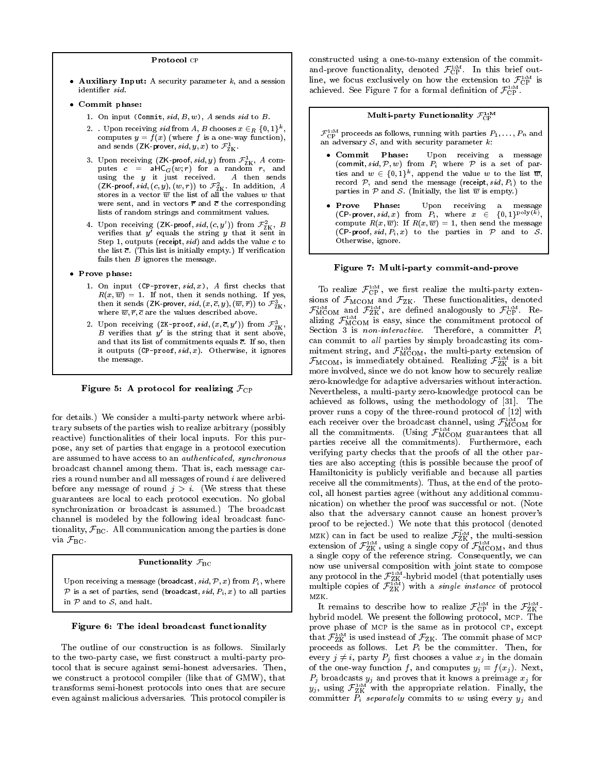#### Protocol cp

- Auxiliary Input: A security parameter  $k$ , and a session identifier sid.
- $\bullet$  Commit phase: Commit phase:
	- 1. On input (Commit,  $sid, B, w$ ),  $A$  sends  $sid$  to  $B$ .
	- 2. . Upon receiving sid from A, B chooses  $x \in_R \{0, 1\}^n$ ,  $\|\cdot\|$ , computes  $y = f(x)$  (where f is a one-way function), and sends (ZK-prover,  $sia, y, x$ ) to  ${\cal F}_{\rm ZK}^+$ .
	- 3. Upon receiving (ZK-proot,  $sia, y$ ) from  $\mathcal{F}_{\overline{2}K}$ , A comput estimates contract  $\mathbf{u}$  and  $\mathbf{u}$  for a random r, and a random r, and a random r, and a random r, and a random r, and a random r, and a random r, and a random r, and a random r, and a random r, and a random r, using the y it just received. A then sends (ZK-proof, sta,  $(c, y)$ ,  $(w, r)$ ) to  $\mathcal{F}_{ZK}$ . In addition, A stores in a vector w the list of all the values w that were sent, and in vectors  $\overline{r}$  and  $\overline{c}$  the corresponding lists of random strings and commitment values.
	- 4. Upon receiving  $(ZN\text{-}proof, sta, (c, y))$  from  $\mathcal{F}_{ZK}$ ,  $B$ verifies that  $y'$  equals the string  $y$  that it sent in Step 1, outputs (receipt,  $sid$ ) and adds the value  $c$  to the list  $\overline{c}$ . (This list is initially empty.) If verification fails then  $B$  ignores the message.
- Prove phase:
	- 1. On input (CP-prover,  $sid, x$ ), A first checks that  $R(x,\overline{w}) = 1$ . If not, then it sends nothing. If yes, then it sends (ZK-prover, sid,  $(x, c, y)$ ,  $(w, r)$ ) to  $\mathcal{F}_{ZK}$ ,  $|$ where  $\overline{w}, \overline{r}, \overline{c}$  are the values described above.
	- 2. Upon receiving  $(X \sim p \cdot \text{mod}, s \cdot a, (x, c, y))$  from  $\mathcal{F}_{ZK}$ ,  $\mid S \mid B$  verifies that  $y'$  is the string that it sent above. it outputs  $(CP-proof, sid, x)$ . Otherwise, it ignores the message.

Figure 5: A protocol for realizing  $\mathcal{F}_{\text{CP}}$ 

for details.) We consider a multi-party network where arbitrary subsets of the parties wish to realize arbitrary (possibly reactive) functionalities of their local inputs. For this purpose, any set of parties that engage in a protocol execution are assumed to have access to an authenticated, synchronous broadcast channel among them. That is, each message carries a round number and all messages of round  $i$  are delivered before any message of round  $j > i$ . (We stress that these guarantees are local to each protocol execution. No global synchronization or broadcast is assumed.) The broadcast channel is modeled by the following ideal broadcast functionality,  $\mathcal{F}_{BC}$ . All communication among the parties is done via  $\mathcal{F}_{\text{BC}}$ .

#### Functionality  $\mathcal{F}_{\text{BC}}$

Upon receiving a message (broadcast; sid; <sup>P</sup>; x) from Pi , where  $P$  is a set of parties, send (broadcast, sid,  $P_i$ , x) to all parties in P and to S, and to S, and to S, and to S, and to S, and to S, and to S, and to S, and to S, and to S, and t

#### Figure 6: The ideal broadcast functionality

The outline of our construction is as follows. Similarly to the two-party case, we first construct a multi-party protocol that is secure against semi-honest adversaries. Then, we construct a protocol compiler (like that of GMW), that transforms semi-honest protocols into ones that are secure even against malicious adversaries. This protocol compiler is constructed using a one-to-many extension of the commitand-prove functionality, denoted  ${\cal F}_{\text{CP}}$  . In this brief outline, we focus exclusively on how the extension to  ${\cal F}_{\rm CP}^{-1}$  is achieved. See Figure 7 for a formal definition of  $\mathcal{F}_{\text{CP}}$  .

#### Multi-party Functionality  $\mathcal{F}_{GP}$ .

 $\mathcal{F}_{CP}$  proceeds as follows, running with parties  $P_1,\ldots,P_n$  and  $\parallel$ and adversary S, and with security parameter kind with security parameter k:

- Commit Phase: Upon receiving <sup>a</sup> message (commit, sid, P, w) from  $P_i$  where P is a set of parties and  $w \in \{0, 1\}^k$ , append the value w to the list  $\overline{w}$ ,<br>record  $\mathcal{P}$ , and send the message (receipt, sid,  $P_i$ ) to the record <sup>P</sup>, and send the message (receipt; sid; Pi ) to the parties in P and S. (Initially, the list <sup>w</sup> is empty.)
- $(CP\text{-}prover, sid, x)$  from  $P_i$ , where  $x \in \{0, 1\}^{\text{poly}(k)},$ , compute  $R(x, \overline{w})$ : If  $R(x, \overline{w}) = 1$ , then send the message (CP-proof, sid,  $P_i$ , x) to the parties in  $P$  and to S. Otherwise, ignore.

#### Figure 7: Multi-party commit-and-prove

and that its list of commitments equals  $\overline{c}$ . If so, then commit to all parties by simply broadcasting its com-To realize  $\mathcal{F}_{\text{CP}}$ , we first realize the multi-party extensions of  $\mathcal{F}_{\text{MCOM}}$  and  $\mathcal{F}_{\text{ZK}}$ . These functionalities, denoted  $\mathcal{F}_{\rm MCOM}$  and  $\mathcal{F}_{\rm ZK}^-$ , are defined analogously to  $\mathcal{F}_{\rm CP}^-$ . Realizing  $\mathcal{F}_{\text{MCOM}}^{1:M}$  is easy, since the commitment protocol of Section 3 is *non-interactive*. Therefore, a committer  $P_i$ mitment string, and  $\mathcal{F}_{\text{MCOM}}^{1:M}$ , the multi-party extension of  $\mathcal{F}_{\text{MCOM}}$ , is immediately obtained. Realizing  $\mathcal{F}_{\text{ZK}}$  is a bit more involved, since we do not know how to securely realize zero-knowledge for adaptive adversaries without interaction. Nevertheless, a multi-party zero-knowledge protocol can be achieved as follows, using the methodology of [31]. The each receiver over the broadcast channel, using  ${\cal F}_{\rm MCOM}^{1:\rm M}$  for all the commitments. (Using  $\mathcal{F}_{\rm{MCOM}}$  guarantees that all parties receive all the commitments). Furthermore, each verifying party checks that the proofs of all the other parties are also accepting (this is possible because the proof of Hamiltonicity is publicly veriable and because all parties receive all the commitments). Thus, at the end of the protocol, all honest parties agree (without any additional commu nication) on whether the proof was successful or not. (Note also that the adversary cannot cause an honest prover's proof to be rejected.) We note that this protocol (denoted mzk) can in fact be used to realize  $\mathcal{F}_{ZK}^{2}$ , the multi-session extension of  $\mathcal{F}_{2K}^{1:M}$ , using a single copy of  $\mathcal{F}_{M\text{COM}}^{1:M}$ , and thus a single copy of the reference string. Consequently, we can any protocol in the  $\mathcal{F}_{\rm ZK}^{1:M}$ -hybrid model (that potentially uses multiple copies of  $\mathcal{F}_{\rm ZK}^{1:M}$ ) with a *single instance* of protocol mzk.

> It remains to describe how to realize  $\mathcal{F}_{\mathrm{CP}}$  in the  $\mathcal{F}_{\mathrm{ZK}}$ hybrid model. We present the following protocol, mcp. The prove phase of mcp isthe same as in protocol cp, except that  ${\rm \mathcal{F}}_{\rm ZK}^{-}$  is used instead of  ${\rm \mathcal{F}}_{\rm ZK}$ . The commit phase of MCP proceeds as follows. Let  $P_i$  be the committer. Then, for every  $j \neq i$ , party  $P_j$  first chooses a value  $x_j$  in the domain of the one-way function f, and computes  $y_j = f(x_j)$ . Next,  $P_i$  broadcasts  $y_i$  and proves that it knows a preimage  $x_j$  for  $y_j$ , using  $\mathcal{F}_{\mathrm{ZK}}^-$  with the appropriate relation. Finally, the committer  $P_i$  separately commits to w using every  $y_j$  and